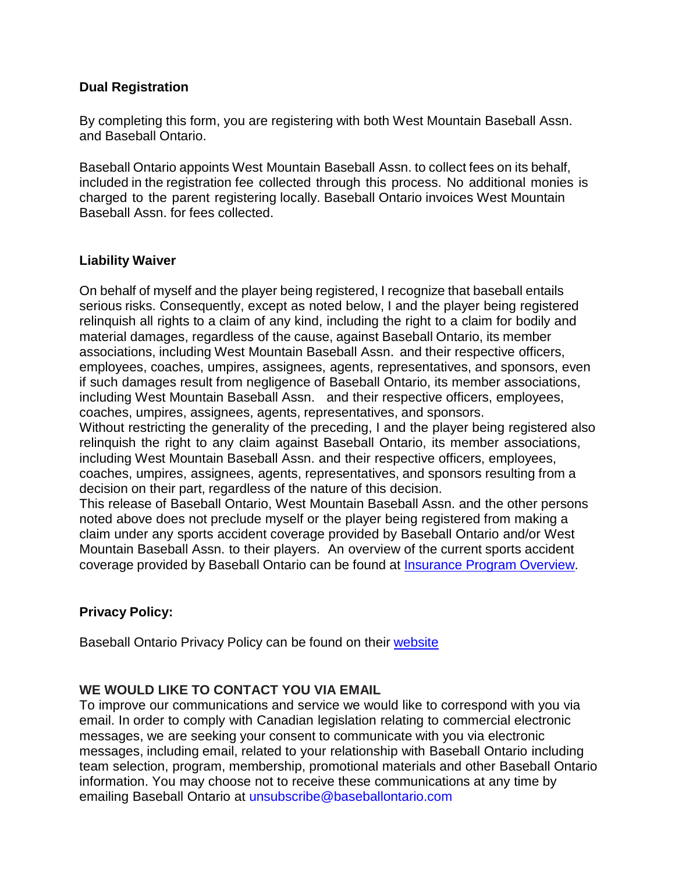### **Dual Registration**

By completing this form, you are registering with both West Mountain Baseball Assn. and Baseball Ontario.

Baseball Ontario appoints West Mountain Baseball Assn. to collect fees on its behalf, included in the registration fee collected through this process. No additional monies is charged to the parent registering locally. Baseball Ontario invoices West Mountain Baseball Assn. for fees collected.

## **Liability Waiver**

On behalf of myself and the player being registered, I recognize that baseball entails serious risks. Consequently, except as noted below, I and the player being registered relinquish all rights to a claim of any kind, including the right to a claim for bodily and material damages, regardless of the cause, against Baseball Ontario, its member associations, including West Mountain Baseball Assn. and their respective officers, employees, coaches, umpires, assignees, agents, representatives, and sponsors, even if such damages result from negligence of Baseball Ontario, its member associations, including West Mountain Baseball Assn. and their respective officers, employees, coaches, umpires, assignees, agents, representatives, and sponsors.

Without restricting the generality of the preceding, I and the player being registered also relinquish the right to any claim against Baseball Ontario, its member associations, including West Mountain Baseball Assn. and their respective officers, employees, coaches, umpires, assignees, agents, representatives, and sponsors resulting from a decision on their part, regardless of the nature of this decision.

This release of Baseball Ontario, West Mountain Baseball Assn. and the other persons noted above does not preclude myself or the player being registered from making a claim under any sports accident coverage provided by Baseball Ontario and/or West Mountain Baseball Assn. to their players. An overview of the current sports accident coverage provided by Baseball Ontario can be found at [Insurance](https://www.baseballontario.com/filestore/htmleditattachedfiles/oba_insurance_renewal_program_2020-20212020-07-06t12-34-12v001_by_292.pdf) Program Overview.

# **Privacy Policy:**

Baseball Ontario Privacy Policy can be found on their [website](https://www.baseballontario.com/filestore/htmleditattachedfiles/privacy_policy2017-03-)

# **WE WOULD LIKE TO CONTACT YOU VIA EMAIL**

To improve our communications and service we would like to correspond with you via email. In order to comply with Canadian legislation relating to commercial electronic messages, we are seeking your consent to communicate with you via electronic messages, including email, related to your relationship with Baseball Ontario including team selection, program, membership, promotional materials and other Baseball Ontario information. You may choose not to receive these communications at any time by emailing Baseball Ontario at [unsubscribe@baseballontario.com](mailto:unsubscribe@baseballontario.com)